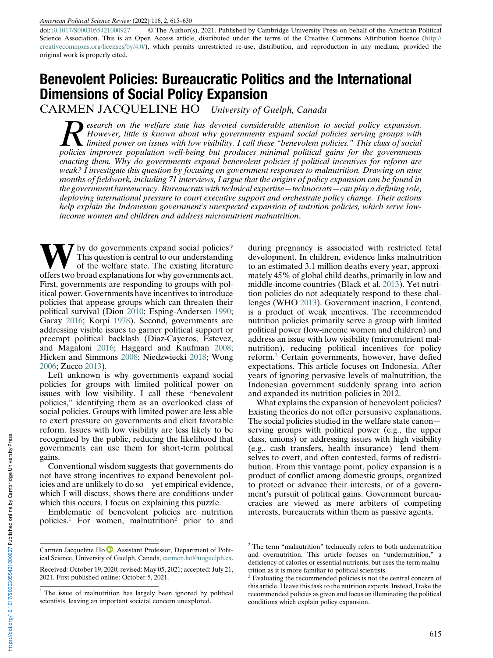doi:[10.1017/S0003055421000927](https://doi.org/10.1017/S0003055421000927) © The Author(s), 2021. Published by Cambridge University Press on behalf of the American Political Science Association. This is an Open Access article, distributed under the terms of the Creative Commons Attribution licence ([http://](http://creativecommons.org/licenses/by/4.0/) [creativecommons.org/licenses/by/4.0/\)](http://creativecommons.org/licenses/by/4.0/), which permits unrestricted re-use, distribution, and reproduction in any medium, provided the original work is properly cited.

# Benevolent Policies: Bureaucratic Politics and the International Dimensions of Social Policy Expansion

CARMEN JACQUELINE HO University of Guelph, Canada

Research on the welfare state has devoted considerable attention to social policy expansion.<br>However, little is known about why governments expand social policies serving groups with<br>limited power on issues with low visibi However, little is known about why governments expand social policies serving groups with policies improves population well-being but produces minimal political gains for the governments enacting them. Why do governments expand benevolent policies if political incentives for reform are weak? I investigate this question by focusing on government responses to malnutrition. Drawing on nine months of fieldwork, including 71 interviews, I argue that the origins of policy expansion can be found in the government bureaucracy. Bureaucrats with technical expertise—technocrats—can play a defining role, deploying international pressure to court executive support and orchestrate policy change. Their actions help explain the Indonesian government's unexpected expansion of nutrition policies, which serve lowincome women and children and address micronutrient malnutrition.

Thy do governments expand social policies? This question is central to our understanding of the welfare state. The existing literature offers two broad explanations for why governments act. First, governments are responding to groups with political power. Governments have incentives to introduce policies that appease groups which can threaten their political survival (Dion 2010; Esping-Andersen 1990; Garay 2016; Korpi 1978). Second, governments are addressing visible issues to garner political support or preempt political backlash (Diaz-Cayeros, Estevez, and Magaloni 2016; Haggard and Kaufman 2008; Hicken and Simmons 2008; Niedzwiecki 2018; Wong 2006; Zucco 2013).

Left unknown is why governments expand social policies for groups with limited political power on issues with low visibility. I call these "benevolent policies," identifying them as an overlooked class of social policies. Groups with limited power are less able to exert pressure on governments and elicit favorable reform. Issues with low visibility are less likely to be recognized by the public, reducing the likelihood that governments can use them for short-term political gains.

Conventional wisdom suggests that governments do not have strong incentives to expand benevolent policies and are unlikely to do so—yet empirical evidence, which I will discuss, shows there are conditions under which this occurs. I focus on explaining this puzzle.

Emblematic of benevolent policies are nutrition policies.<sup>1</sup> For women, malnutrition<sup>2</sup> prior to and during pregnancy is associated with restricted fetal development. In children, evidence links malnutrition to an estimated 3.1 million deaths every year, approximately 45% of global child deaths, primarily in low and middle-income countries (Black et al. 2013). Yet nutrition policies do not adequately respond to these challenges (WHO 2013). Government inaction, I contend, is a product of weak incentives. The recommended nutrition policies primarily serve a group with limited political power (low-income women and children) and address an issue with low visibility (micronutrient malnutrition), reducing political incentives for policy reform.<sup>3</sup> Certain governments, however, have defied expectations. This article focuses on Indonesia. After years of ignoring pervasive levels of malnutrition, the Indonesian government suddenly sprang into action and expanded its nutrition policies in 2012.

What explains the expansion of benevolent policies? Existing theories do not offer persuasive explanations. The social policies studied in the welfare state canon serving groups with political power (e.g., the upper class, unions) or addressing issues with high visibility (e.g., cash transfers, health insurance)—lend themselves to overt, and often contested, forms of redistribution. From this vantage point, policy expansion is a product of conflict among domestic groups, organized to protect or advance their interests, or of a government's pursuit of political gains. Government bureaucracies are viewed as mere arbiters of competing interests, bureaucrats within them as passive agents.

https://doi.org/10.1017/S0003055421000927 Published online by Cambridge University Press https://doi.org/10.1017/S0003055421000927 Published online by Cambridge University Press

Carmen Jacqueline Ho  $\mathbb D$ , Assistant Professor, Department of Political Science, University of Guelph, Canada, [carmen.ho@uoguelph.ca.](mailto:carmen.ho@uoguelph.ca)

Received: October 19, 2020; revised: May 05, 2021; accepted: July 21, 2021. First published online: October 5, 2021.

<sup>&</sup>lt;sup>1</sup> The issue of malnutrition has largely been ignored by political scientists, leaving an important societal concern unexplored.

 $2$ <sup>2</sup> The term "malnutrition" technically refers to both undernutrition and overnutrition. This article focuses on "undernutrition," a deficiency of calories or essential nutrients, but uses the term malnutrition as it is more familiar to political scientists.

 $3$  Evaluating the recommended policies is not the central concern of this article. I leave this task to the nutrition experts. Instead, I take the recommended policies as given and focus on illuminating the political conditions which explain policy expansion.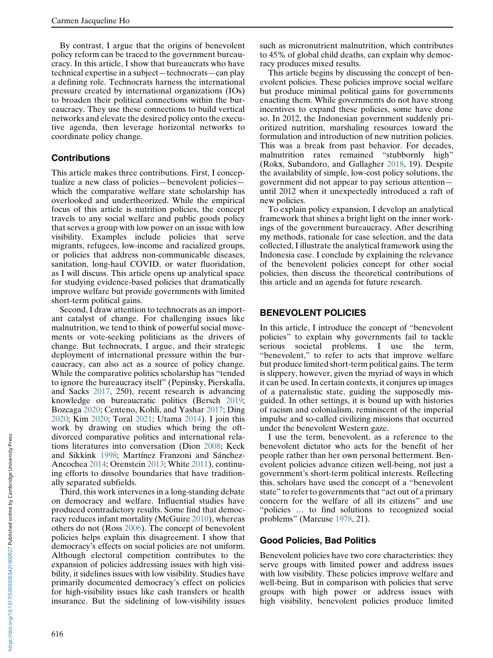By contrast, I argue that the origins of benevolent policy reform can be traced to the government bureaucracy. In this article, I show that bureaucrats who have technical expertise in a subject—technocrats—can play a defining role. Technocrats harness the international pressure created by international organizations (IOs) to broaden their political connections within the bureaucracy. They use these connections to build vertical networks and elevate the desired policy onto the executive agenda, then leverage horizontal networks to coordinate policy change.

#### **Contributions**

This article makes three contributions. First, I conceptualize a new class of policies—benevolent policies which the comparative welfare state scholarship has overlooked and undertheorized. While the empirical focus of this article is nutrition policies, the concept travels to any social welfare and public goods policy that serves a group with low power on an issue with low visibility. Examples include policies that serve migrants, refugees, low-income and racialized groups, or policies that address non-communicable diseases, sanitation, long-haul COVID, or water fluoridation, as I will discuss. This article opens up analytical space for studying evidence-based policies that dramatically improve welfare but provide governments with limited short-term political gains.

Second, I draw attention to technocrats as an important catalyst of change. For challenging issues like malnutrition, we tend to think of powerful social movements or vote-seeking politicians as the drivers of change. But technocrats, I argue, and their strategic deployment of international pressure within the bureaucracy, can also act as a source of policy change. While the comparative politics scholarship has "tended to ignore the bureaucracy itself" (Pepinsky, Pierskalla, and Sacks 2017, 250), recent research is advancing knowledge on bureaucratic politics (Bersch 2019; Bozcaga 2020; Centeno, Kohli, and Yashar 2017; Ding 2020; Kim 2020; Toral 2021; Utama 2014). I join this work by drawing on studies which bring the oftdivorced comparative politics and international relations literatures into conversation (Dion 2008; Keck and Sikkink 1998; Martínez Franzoni and Sánchez-Ancochea 2014; Orenstein 2013; White 2011), continuing efforts to dissolve boundaries that have traditionally separated subfields.

Third, this work intervenes in a long-standing debate on democracy and welfare. Influential studies have produced contradictory results. Some find that democracy reduces infant mortality (McGuire 2010), whereas others do not (Ross 2006). The concept of benevolent policies helps explain this disagreement. I show that democracy's effects on social policies are not uniform. Although electoral competition contributes to the expansion of policies addressing issues with high visibility, it sidelines issues with low visibility. Studies have primarily documented democracy's effect on policies for high-visibility issues like cash transfers or health insurance. But the sidelining of low-visibility issues

such as micronutrient malnutrition, which contributes to 45% of global child deaths, can explain why democracy produces mixed results.

This article begins by discussing the concept of benevolent policies. These policies improve social welfare but produce minimal political gains for governments enacting them. While governments do not have strong incentives to expand these policies, some have done so. In 2012, the Indonesian government suddenly prioritized nutrition, marshaling resources toward the formulation and introduction of new nutrition policies. This was a break from past behavior. For decades, malnutrition rates remained "stubbornly high" (Rokx, Subandoro, and Gallagher 2018, 19). Despite the availability of simple, low-cost policy solutions, the government did not appear to pay serious attention until 2012 when it unexpectedly introduced a raft of new policies.

To explain policy expansion, I develop an analytical framework that shines a bright light on the inner workings of the government bureaucracy. After describing my methods, rationale for case selection, and the data collected, I illustrate the analytical framework using the Indonesia case. I conclude by explaining the relevance of the benevolent policies concept for other social policies, then discuss the theoretical contributions of this article and an agenda for future research.

#### BENEVOLENT POLICIES

In this article, I introduce the concept of "benevolent policies" to explain why governments fail to tackle serious societal problems. I use the term, "benevolent," to refer to acts that improve welfare but produce limited short-term political gains. The term is slippery, however, given the myriad of ways in which it can be used. In certain contexts, it conjures up images of a paternalistic state, guiding the supposedly misguided. In other settings, it is bound up with histories of racism and colonialism, reminiscent of the imperial impulse and so-called civilizing missions that occurred under the benevolent Western gaze.

I use the term, benevolent, as a reference to the benevolent dictator who acts for the benefit of her people rather than her own personal betterment. Benevolent policies advance citizen well-being, not just a government's short-term political interests. Reflecting this, scholars have used the concept of a "benevolent state" to refer to governments that "act out of a primary concern for the welfare of all its citizens" and use "policies … to find solutions to recognized social problems" (Marcuse 1978, 21).

#### Good Policies, Bad Politics

Benevolent policies have two core characteristics: they serve groups with limited power and address issues with low visibility. These policies improve welfare and well-being. But in comparison with policies that serve groups with high power or address issues with high visibility, benevolent policies produce limited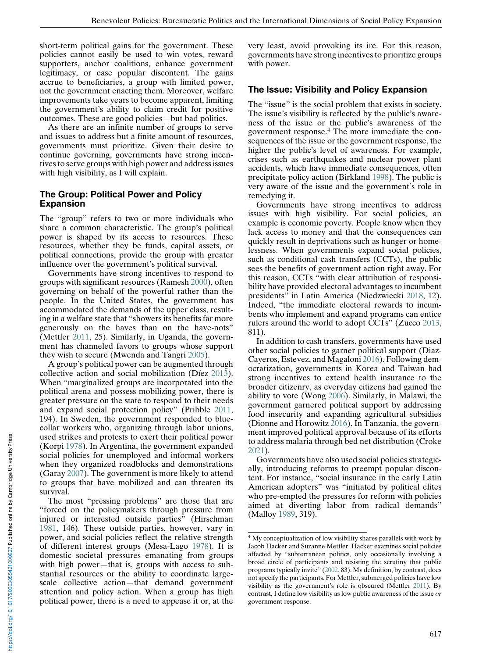short-term political gains for the government. These policies cannot easily be used to win votes, reward supporters, anchor coalitions, enhance government legitimacy, or ease popular discontent. The gains accrue to beneficiaries, a group with limited power, not the government enacting them. Moreover, welfare improvements take years to become apparent, limiting the government's ability to claim credit for positive outcomes. These are good policies—but bad politics.

As there are an infinite number of groups to serve and issues to address but a finite amount of resources, governments must prioritize. Given their desire to continue governing, governments have strong incentives to serve groups with high power and address issues with high visibility, as I will explain.

#### The Group: Political Power and Policy Expansion

The "group" refers to two or more individuals who share a common characteristic. The group's political power is shaped by its access to resources. These resources, whether they be funds, capital assets, or political connections, provide the group with greater influence over the government's political survival.

Governments have strong incentives to respond to groups with significant resources (Ramesh 2000), often governing on behalf of the powerful rather than the people. In the United States, the government has accommodated the demands of the upper class, resulting in a welfare state that "showers its benefits far more generously on the haves than on the have-nots" (Mettler 2011, 25). Similarly, in Uganda, the government has channeled favors to groups whose support they wish to secure (Mwenda and Tangri 2005).

A group's political power can be augmented through collective action and social mobilization (Díez 2013). When "marginalized groups are incorporated into the political arena and possess mobilizing power, there is greater pressure on the state to respond to their needs and expand social protection policy" (Pribble 2011, 194). In Sweden, the government responded to bluecollar workers who, organizing through labor unions, used strikes and protests to exert their political power (Korpi 1978). In Argentina, the government expanded social policies for unemployed and informal workers when they organized roadblocks and demonstrations (Garay 2007). The government is more likely to attend to groups that have mobilized and can threaten its survival.

The most "pressing problems" are those that are "forced on the policymakers through pressure from injured or interested outside parties" (Hirschman 1981, 146). These outside parties, however, vary in power, and social policies reflect the relative strength of different interest groups (Mesa-Lago 1978). It is domestic societal pressures emanating from groups with high power—that is, groups with access to substantial resources or the ability to coordinate largescale collective action—that demand government attention and policy action. When a group has high political power, there is a need to appease it or, at the

very least, avoid provoking its ire. For this reason, governments have strong incentives to prioritize groups with power.

#### The Issue: Visibility and Policy Expansion

The "issue" is the social problem that exists in society. The issue's visibility is reflected by the public's awareness of the issue or the public's awareness of the government response.<sup>4</sup> The more immediate the consequences of the issue or the government response, the higher the public's level of awareness. For example, crises such as earthquakes and nuclear power plant accidents, which have immediate consequences, often precipitate policy action (Birkland 1998). The public is very aware of the issue and the government's role in remedying it.

Governments have strong incentives to address issues with high visibility. For social policies, an example is economic poverty. People know when they lack access to money and that the consequences can quickly result in deprivations such as hunger or homelessness. When governments expand social policies, such as conditional cash transfers (CCTs), the public sees the benefits of government action right away. For this reason, CCTs "with clear attribution of responsibility have provided electoral advantages to incumbent presidents" in Latin America (Niedzwiecki 2018, 12). Indeed, "the immediate electoral rewards to incumbents who implement and expand programs can entice rulers around the world to adopt CCTs" (Zucco 2013, 811).

In addition to cash transfers, governments have used other social policies to garner political support (Diaz-Cayeros, Estevez, and Magaloni 2016). Following democratization, governments in Korea and Taiwan had strong incentives to extend health insurance to the broader citizenry, as everyday citizens had gained the ability to vote (Wong 2006). Similarly, in Malawi, the government garnered political support by addressing food insecurity and expanding agricultural subsidies (Dionne and Horowitz 2016). In Tanzania, the government improved political approval because of its efforts to address malaria through bed net distribution (Croke 2021).

Governments have also used social policies strategically, introducing reforms to preempt popular discontent. For instance, "social insurance in the early Latin American adopters" was "initiated by political elites who pre-empted the pressures for reform with policies aimed at diverting labor from radical demands" (Malloy 1989, 319).

<sup>4</sup> My conceptualization of low visibility shares parallels with work by Jacob Hacker and Suzanne Mettler. Hacker examines social policies affected by "subterranean politics, only occasionally involving a broad circle of participants and resisting the scrutiny that public programs typically invite" (2002, 83). My definition, by contrast, does not specify the participants. For Mettler, submerged policies have low visibility as the government's role is obscured (Mettler 2011). By contrast, I define low visibility as low public awareness of the issue or government response.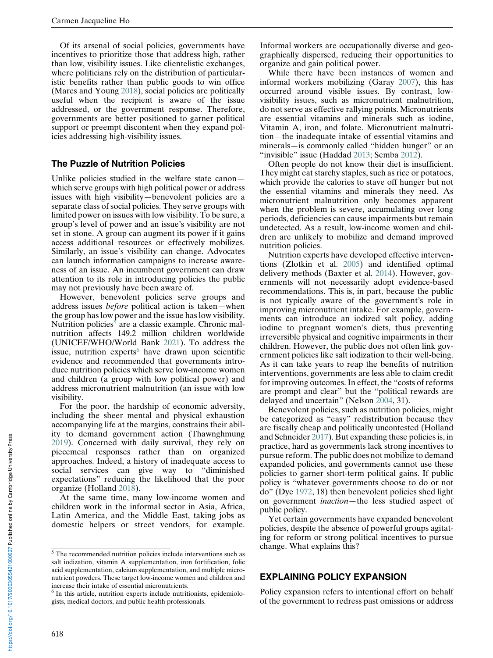Of its arsenal of social policies, governments have incentives to prioritize those that address high, rather than low, visibility issues. Like clientelistic exchanges, where politicians rely on the distribution of particularistic benefits rather than public goods to win office (Mares and Young 2018), social policies are politically useful when the recipient is aware of the issue addressed, or the government response. Therefore, governments are better positioned to garner political support or preempt discontent when they expand policies addressing high-visibility issues.

#### The Puzzle of Nutrition Policies

Unlike policies studied in the welfare state canon which serve groups with high political power or address issues with high visibility—benevolent policies are a separate class of social policies. They serve groups with limited power on issues with low visibility. To be sure, a group's level of power and an issue's visibility are not set in stone. A group can augment its power if it gains access additional resources or effectively mobilizes. Similarly, an issue's visibility can change. Advocates can launch information campaigns to increase awareness of an issue. An incumbent government can draw attention to its role in introducing policies the public may not previously have been aware of.

However, benevolent policies serve groups and address issues before political action is taken—when the group has low power and the issue has low visibility. Nutrition policies<sup>5</sup> are a classic example. Chronic malnutrition affects 149.2 million children worldwide (UNICEF/WHO/World Bank 2021). To address the issue, nutrition experts<sup>6</sup> have drawn upon scientific evidence and recommended that governments introduce nutrition policies which serve low-income women and children (a group with low political power) and address micronutrient malnutrition (an issue with low visibility.

For the poor, the hardship of economic adversity, including the sheer mental and physical exhaustion accompanying life at the margins, constrains their ability to demand government action (Thawnghmung 2019). Concerned with daily survival, they rely on piecemeal responses rather than on organized approaches. Indeed, a history of inadequate access to social services can give way to "diminished expectations" reducing the likelihood that the poor organize (Holland 2018).

At the same time, many low-income women and children work in the informal sector in Asia, Africa, Latin America, and the Middle East, taking jobs as domestic helpers or street vendors, for example.

Informal workers are occupationally diverse and geographically dispersed, reducing their opportunities to organize and gain political power.

While there have been instances of women and informal workers mobilizing (Garay 2007), this has occurred around visible issues. By contrast, lowvisibility issues, such as micronutrient malnutrition, do not serve as effective rallying points. Micronutrients are essential vitamins and minerals such as iodine, Vitamin A, iron, and folate. Micronutrient malnutrition—the inadequate intake of essential vitamins and minerals—is commonly called "hidden hunger" or an "invisible" issue (Haddad 2013; Semba 2012).

Often people do not know their diet is insufficient. They might eat starchy staples, such as rice or potatoes, which provide the calories to stave off hunger but not the essential vitamins and minerals they need. As micronutrient malnutrition only becomes apparent when the problem is severe, accumulating over long periods, deficiencies can cause impairments but remain undetected. As a result, low-income women and children are unlikely to mobilize and demand improved nutrition policies.

Nutrition experts have developed effective interventions (Zlotkin et al. 2005) and identified optimal delivery methods (Baxter et al. 2014). However, governments will not necessarily adopt evidence-based recommendations. This is, in part, because the public is not typically aware of the government's role in improving micronutrient intake. For example, governments can introduce an iodized salt policy, adding iodine to pregnant women's diets, thus preventing irreversible physical and cognitive impairments in their children. However, the public does not often link government policies like salt iodization to their well-being. As it can take years to reap the benefits of nutrition interventions, governments are less able to claim credit for improving outcomes. In effect, the "costs of reforms are prompt and clear" but the "political rewards are delayed and uncertain" (Nelson 2004, 31).

Benevolent policies, such as nutrition policies, might be categorized as "easy" redistribution because they are fiscally cheap and politically uncontested (Holland and Schneider 2017). But expanding these policies is, in practice, hard as governments lack strong incentives to pursue reform. The public does not mobilize to demand expanded policies, and governments cannot use these policies to garner short-term political gains. If public policy is "whatever governments choose to do or not do" (Dye 1972, 18) then benevolent policies shed light on government inaction—the less studied aspect of public policy.

Yet certain governments have expanded benevolent policies, despite the absence of powerful groups agitating for reform or strong political incentives to pursue change. What explains this?

#### EXPLAINING POLICY EXPANSION

Policy expansion refers to intentional effort on behalf of the government to redress past omissions or address

 $5$  The recommended nutrition policies include interventions such as salt iodization, vitamin A supplementation, iron fortification, folic acid supplementation, calcium supplementation, and multiple micronutrient powders. These target low-income women and children and increase their intake of essential micronutrients.

<sup>&</sup>lt;sup>6</sup> In this article, nutrition experts include nutritionists, epidemiologists, medical doctors, and public health professionals.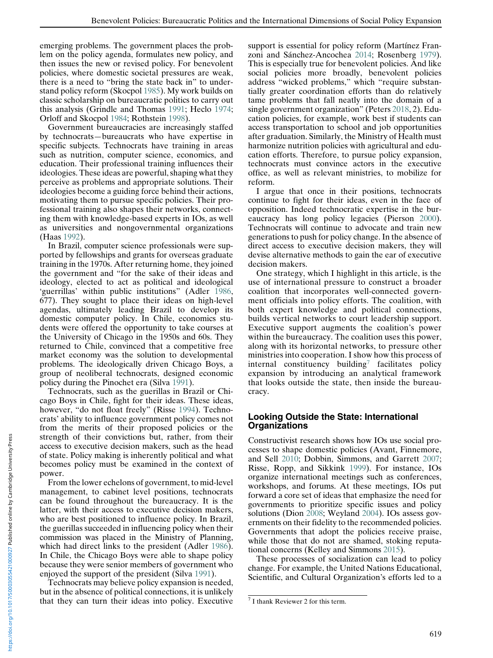emerging problems. The government places the problem on the policy agenda, formulates new policy, and then issues the new or revised policy. For benevolent policies, where domestic societal pressures are weak, there is a need to "bring the state back in" to understand policy reform (Skocpol 1985). My work builds on classic scholarship on bureaucratic politics to carry out this analysis (Grindle and Thomas 1991; Heclo 1974; Orloff and Skocpol 1984; Rothstein 1998).

Government bureaucracies are increasingly staffed by technocrats—bureaucrats who have expertise in specific subjects. Technocrats have training in areas such as nutrition, computer science, economics, and education. Their professional training influences their ideologies. These ideas are powerful, shaping what they perceive as problems and appropriate solutions. Their ideologies become a guiding force behind their actions, motivating them to pursue specific policies. Their professional training also shapes their networks, connecting them with knowledge-based experts in IOs, as well as universities and nongovernmental organizations (Haas 1992).

In Brazil, computer science professionals were supported by fellowships and grants for overseas graduate training in the 1970s. After returning home, they joined the government and "for the sake of their ideas and ideology, elected to act as political and ideological 'guerrillas' within public institutions" (Adler 1986, 677). They sought to place their ideas on high-level agendas, ultimately leading Brazil to develop its domestic computer policy. In Chile, economics students were offered the opportunity to take courses at the University of Chicago in the 1950s and 60s. They returned to Chile, convinced that a competitive free market economy was the solution to developmental problems. The ideologically driven Chicago Boys, a group of neoliberal technocrats, designed economic policy during the Pinochet era (Silva 1991).

Technocrats, such as the guerillas in Brazil or Chicago Boys in Chile, fight for their ideas. These ideas, however, "do not float freely" (Risse 1994). Technocrats' ability to influence government policy comes not from the merits of their proposed policies or the strength of their convictions but, rather, from their access to executive decision makers, such as the head of state. Policy making is inherently political and what becomes policy must be examined in the context of power.

From the lower echelons of government, to mid-level management, to cabinet level positions, technocrats can be found throughout the bureaucracy. It is the latter, with their access to executive decision makers, who are best positioned to influence policy. In Brazil, the guerillas succeeded in influencing policy when their commission was placed in the Ministry of Planning, which had direct links to the president (Adler 1986). In Chile, the Chicago Boys were able to shape policy because they were senior members of government who enjoyed the support of the president (Silva 1991).

Technocrats may believe policy expansion is needed, but in the absence of political connections, it is unlikely that they can turn their ideas into policy. Executive

support is essential for policy reform (Martínez Franzoni and Sánchez-Ancochea 2014; Rosenberg 1979). This is especially true for benevolent policies. And like social policies more broadly, benevolent policies address "wicked problems," which "require substantially greater coordination efforts than do relatively tame problems that fall neatly into the domain of a single government organization" (Peters 2018, 2). Education policies, for example, work best if students can access transportation to school and job opportunities after graduation. Similarly, the Ministry of Health must harmonize nutrition policies with agricultural and education efforts. Therefore, to pursue policy expansion, technocrats must convince actors in the executive office, as well as relevant ministries, to mobilize for reform.

I argue that once in their positions, technocrats continue to fight for their ideas, even in the face of opposition. Indeed technocratic expertise in the bureaucracy has long policy legacies (Pierson 2000). Technocrats will continue to advocate and train new generations to push for policy change. In the absence of direct access to executive decision makers, they will devise alternative methods to gain the ear of executive decision makers.

One strategy, which I highlight in this article, is the use of international pressure to construct a broader coalition that incorporates well-connected government officials into policy efforts. The coalition, with both expert knowledge and political connections, builds vertical networks to court leadership support. Executive support augments the coalition's power within the bureaucracy. The coalition uses this power, along with its horizontal networks, to pressure other ministries into cooperation. I show how this process of internal constituency building<sup>7</sup> facilitates policy expansion by introducing an analytical framework that looks outside the state, then inside the bureaucracy.

#### Looking Outside the State: International **Organizations**

Constructivist research shows how IOs use social processes to shape domestic policies (Avant, Finnemore, and Sell 2010; Dobbin, Simmons, and Garrett 2007; Risse, Ropp, and Sikkink 1999). For instance, IOs organize international meetings such as conferences, workshops, and forums. At these meetings, IOs put forward a core set of ideas that emphasize the need for governments to prioritize specific issues and policy solutions (Dion 2008; Weyland 2004). IOs assess governments on their fidelity to the recommended policies. Governments that adopt the policies receive praise, while those that do not are shamed, stoking reputational concerns (Kelley and Simmons 2015).

These processes of socialization can lead to policy change. For example, the United Nations Educational, Scientific, and Cultural Organization's efforts led to a

 $<sup>7</sup>$  I thank Reviewer 2 for this term.</sup>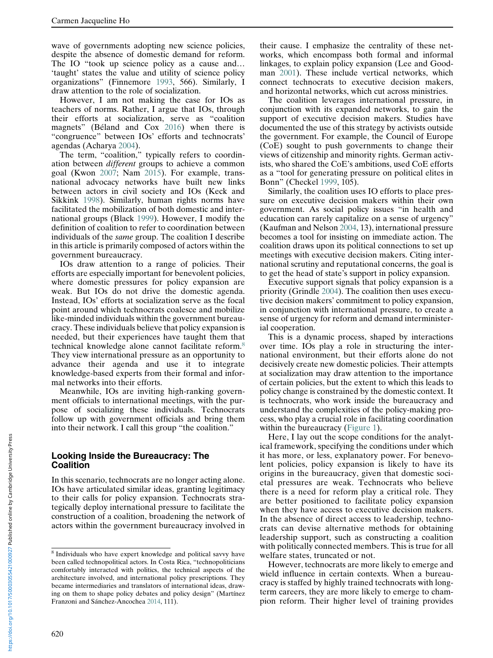wave of governments adopting new science policies, despite the absence of domestic demand for reform. The IO "took up science policy as a cause and… 'taught' states the value and utility of science policy organizations" (Finnemore 1993, 566). Similarly, I draw attention to the role of socialization.

However, I am not making the case for IOs as teachers of norms. Rather, I argue that IOs, through their efforts at socialization, serve as "coalition magnets" (Béland and Cox 2016) when there is "congruence" between IOs' efforts and technocrats' agendas (Acharya 2004).

The term, "coalition," typically refers to coordination between different groups to achieve a common goal (Kwon 2007; Nam 2015). For example, transnational advocacy networks have built new links between actors in civil society and IOs (Keck and Sikkink 1998). Similarly, human rights norms have facilitated the mobilization of both domestic and international groups (Black 1999). However, I modify the definition of coalition to refer to coordination between individuals of the same group. The coalition I describe in this article is primarily composed of actors within the government bureaucracy.

IOs draw attention to a range of policies. Their efforts are especially important for benevolent policies, where domestic pressures for policy expansion are weak. But IOs do not drive the domestic agenda. Instead, IOs' efforts at socialization serve as the focal point around which technocrats coalesce and mobilize like-minded individuals within the government bureaucracy. These individuals believe that policy expansion is needed, but their experiences have taught them that technical knowledge alone cannot facilitate reform.<sup>8</sup> They view international pressure as an opportunity to advance their agenda and use it to integrate knowledge-based experts from their formal and informal networks into their efforts.

Meanwhile, IOs are inviting high-ranking government officials to international meetings, with the purpose of socializing these individuals. Technocrats follow up with government officials and bring them into their network. I call this group "the coalition."

#### Looking Inside the Bureaucracy: The **Coalition**

In this scenario, technocrats are no longer acting alone. IOs have articulated similar ideas, granting legitimacy to their calls for policy expansion. Technocrats strategically deploy international pressure to facilitate the construction of a coalition, broadening the network of actors within the government bureaucracy involved in

their cause. I emphasize the centrality of these networks, which encompass both formal and informal linkages, to explain policy expansion (Lee and Goodman 2001). These include vertical networks, which connect technocrats to executive decision makers, and horizontal networks, which cut across ministries.

The coalition leverages international pressure, in conjunction with its expanded networks, to gain the support of executive decision makers. Studies have documented the use of this strategy by activists outside the government. For example, the Council of Europe (CoE) sought to push governments to change their views of citizenship and minority rights. German activists, who shared the CoE's ambitions, used CoE efforts as a "tool for generating pressure on political elites in Bonn" (Checkel 1999, 105).

Similarly, the coalition uses IO efforts to place pressure on executive decision makers within their own government. As social policy issues "in health and education can rarely capitalize on a sense of urgency" (Kaufman and Nelson 2004, 13), international pressure becomes a tool for insisting on immediate action. The coalition draws upon its political connections to set up meetings with executive decision makers. Citing international scrutiny and reputational concerns, the goal is to get the head of state's support in policy expansion.

Executive support signals that policy expansion is a priority (Grindle 2004). The coalition then uses executive decision makers' commitment to policy expansion, in conjunction with international pressure, to create a sense of urgency for reform and demand interministerial cooperation.

This is a dynamic process, shaped by interactions over time. IOs play a role in structuring the international environment, but their efforts alone do not decisively create new domestic policies. Their attempts at socialization may draw attention to the importance of certain policies, but the extent to which this leads to policy change is constrained by the domestic context. It is technocrats, who work inside the bureaucracy and understand the complexities of the policy-making process, who play a crucial role in facilitating coordination within the bureaucracy [\(Figure 1\)](#page-6-0).

Here, I lay out the scope conditions for the analytical framework, specifying the conditions under which it has more, or less, explanatory power. For benevolent policies, policy expansion is likely to have its origins in the bureaucracy, given that domestic societal pressures are weak. Technocrats who believe there is a need for reform play a critical role. They are better positioned to facilitate policy expansion when they have access to executive decision makers. In the absence of direct access to leadership, technocrats can devise alternative methods for obtaining leadership support, such as constructing a coalition with politically connected members. This is true for all welfare states, truncated or not.

However, technocrats are more likely to emerge and wield influence in certain contexts. When a bureaucracy is staffed by highly trained technocrats with longterm careers, they are more likely to emerge to champion reform. Their higher level of training provides

<sup>8</sup> Individuals who have expert knowledge and political savvy have been called technopolitical actors. In Costa Rica, "technopoliticians comfortably interacted with politics, the technical aspects of the architecture involved, and international policy prescriptions. They became intermediaries and translators of international ideas, drawing on them to shape policy debates and policy design" (Martínez Franzoni and Sánchez-Ancochea 2014, 111).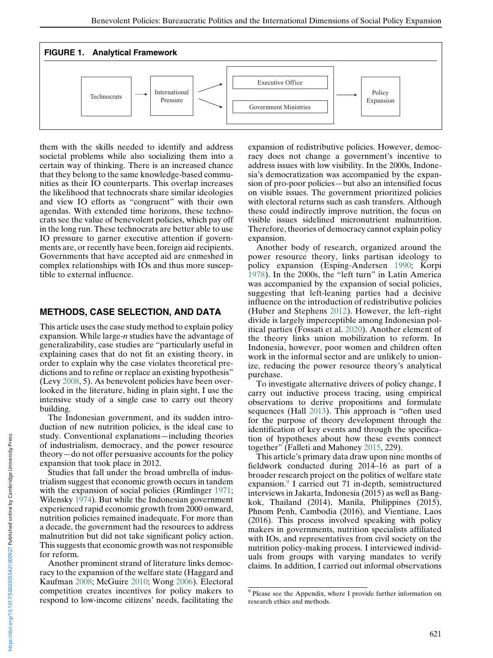<span id="page-6-0"></span>

them with the skills needed to identify and address societal problems while also socializing them into a certain way of thinking. There is an increased chance that they belong to the same knowledge-based communities as their IO counterparts. This overlap increases the likelihood that technocrats share similar ideologies and view IO efforts as "congruent" with their own agendas. With extended time horizons, these technocrats see the value of benevolent policies, which pay off in the long run. These technocrats are better able to use IO pressure to garner executive attention if governments are, or recently have been, foreign aid recipients. Governments that have accepted aid are enmeshed in complex relationships with IOs and thus more susceptible to external influence.

#### METHODS, CASE SELECTION, AND DATA

This article uses the case study method to explain policy expansion. While large- $n$  studies have the advantage of generalizability, case studies are "particularly useful in explaining cases that do not fit an existing theory, in order to explain why the case violates theoretical predictions and to refine or replace an existing hypothesis" (Levy 2008, 5). As benevolent policies have been overlooked in the literature, hiding in plain sight, I use the intensive study of a single case to carry out theory building.

The Indonesian government, and its sudden introduction of new nutrition policies, is the ideal case to study. Conventional explanations—including theories of industrialism, democracy, and the power resource theory—do not offer persuasive accounts for the policy expansion that took place in 2012.

Studies that fall under the broad umbrella of industrialism suggest that economic growth occurs in tandem with the expansion of social policies (Rimlinger 1971; Wilensky 1974). But while the Indonesian government experienced rapid economic growth from 2000 onward, nutrition policies remained inadequate. For more than a decade, the government had the resources to address malnutrition but did not take significant policy action. This suggests that economic growth was not responsible for reform.

Another prominent strand of literature links democracy to the expansion of the welfare state (Haggard and Kaufman 2008; McGuire 2010; Wong 2006). Electoral competition creates incentives for policy makers to respond to low-income citizens' needs, facilitating the expansion of redistributive policies. However, democracy does not change a government's incentive to address issues with low visibility. In the 2000s, Indonesia's democratization was accompanied by the expansion of pro-poor policies—but also an intensified focus on visible issues. The government prioritized policies with electoral returns such as cash transfers. Although these could indirectly improve nutrition, the focus on visible issues sidelined micronutrient malnutrition. Therefore, theories of democracy cannot explain policy expansion.

Another body of research, organized around the power resource theory, links partisan ideology to policy expansion (Esping-Andersen 1990; Korpi 1978). In the 2000s, the "left turn" in Latin America was accompanied by the expansion of social policies, suggesting that left-leaning parties had a decisive influence on the introduction of redistributive policies (Huber and Stephens 2012). However, the left–right divide is largely imperceptible among Indonesian political parties (Fossati et al. 2020). Another element of the theory links union mobilization to reform. In Indonesia, however, poor women and children often work in the informal sector and are unlikely to unionize, reducing the power resource theory's analytical purchase.

To investigate alternative drivers of policy change, I carry out inductive process tracing, using empirical observations to derive propositions and formulate sequences (Hall 2013). This approach is "often used for the purpose of theory development through the identification of key events and through the specification of hypotheses about how these events connect together" (Falleti and Mahoney 2015, 229).

This article's primary data draw upon nine months of fieldwork conducted during 2014–16 as part of a broader research project on the politics of welfare state expansion.<sup>9</sup> I carried out 71 in-depth, semistructured interviews in Jakarta, Indonesia (2015) as well as Bangkok, Thailand (2014), Manila, Philippines (2015), Phnom Penh, Cambodia (2016), and Vientiane, Laos (2016). This process involved speaking with policy makers in governments, nutrition specialists affiliated with IOs, and representatives from civil society on the nutrition policy-making process. I interviewed individuals from groups with varying mandates to verify claims. In addition, I carried out informal observations

<sup>&</sup>lt;sup>9</sup> Please see the Appendix, where I provide further information on research ethics and methods.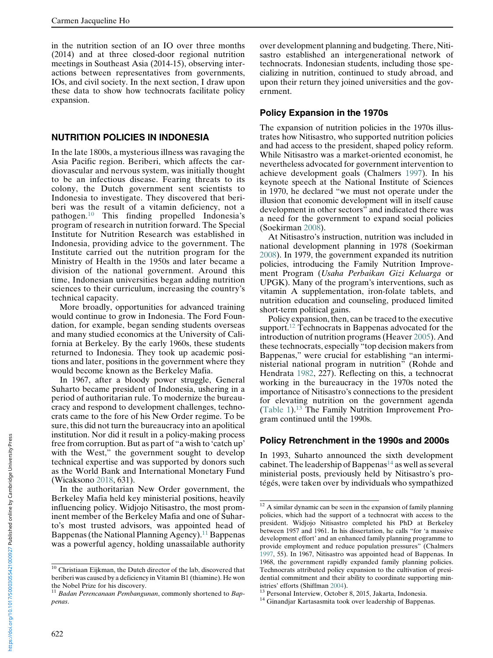in the nutrition section of an IO over three months (2014) and at three closed-door regional nutrition meetings in Southeast Asia (2014-15), observing interactions between representatives from governments, IOs, and civil society. In the next section, I draw upon these data to show how technocrats facilitate policy expansion.

#### NUTRITION POLICIES IN INDONESIA

In the late 1800s, a mysterious illness was ravaging the Asia Pacific region. Beriberi, which affects the cardiovascular and nervous system, was initially thought to be an infectious disease. Fearing threats to its colony, the Dutch government sent scientists to Indonesia to investigate. They discovered that beriberi was the result of a vitamin deficiency, not a pathogen.<sup>10</sup> This finding propelled Indonesia's program of research in nutrition forward. The Special Institute for Nutrition Research was established in Indonesia, providing advice to the government. The Institute carried out the nutrition program for the Ministry of Health in the 1950s and later became a division of the national government. Around this time, Indonesian universities began adding nutrition sciences to their curriculum, increasing the country's technical capacity.

More broadly, opportunities for advanced training would continue to grow in Indonesia. The Ford Foundation, for example, began sending students overseas and many studied economics at the University of California at Berkeley. By the early 1960s, these students returned to Indonesia. They took up academic positions and later, positions in the government where they would become known as the Berkeley Mafia.

In 1967, after a bloody power struggle, General Suharto became president of Indonesia, ushering in a period of authoritarian rule. To modernize the bureaucracy and respond to development challenges, technocrats came to the fore of his New Order regime. To be sure, this did not turn the bureaucracy into an apolitical institution. Nor did it result in a policy-making process free from corruption. But as part of "a wish to 'catch up' with the West," the government sought to develop technical expertise and was supported by donors such as the World Bank and International Monetary Fund (Wicaksono 2018, 631).

In the authoritarian New Order government, the Berkeley Mafia held key ministerial positions, heavily influencing policy. Widjojo Nitisastro, the most prominent member of the Berkeley Mafia and one of Suharto's most trusted advisors, was appointed head of Bappenas (the National Planning Agency).<sup>11</sup> Bappenas was a powerful agency, holding unassailable authority

over development planning and budgeting. There, Nitisastro established an intergenerational network of technocrats. Indonesian students, including those specializing in nutrition, continued to study abroad, and upon their return they joined universities and the government.

#### Policy Expansion in the 1970s

The expansion of nutrition policies in the 1970s illustrates how Nitisastro, who supported nutrition policies and had access to the president, shaped policy reform. While Nitisastro was a market-oriented economist, he nevertheless advocated for government intervention to achieve development goals (Chalmers 1997). In his keynote speech at the National Institute of Sciences in 1970, he declared "we must not operate under the illusion that economic development will in itself cause development in other sectors" and indicated there was a need for the government to expand social policies (Soekirman 2008).

At Nitisastro's instruction, nutrition was included in national development planning in 1978 (Soekirman 2008). In 1979, the government expanded its nutrition policies, introducing the Family Nutrition Improvement Program (Usaha Perbaikan Gizi Keluarga or UPGK). Many of the program's interventions, such as vitamin A supplementation, iron-folate tablets, and nutrition education and counseling, produced limited short-term political gains.

Policy expansion, then, can be traced to the executive support.<sup>12</sup> Technocrats in Bappenas advocated for the introduction of nutrition programs (Heaver 2005). And these technocrats, especially "top decision makers from Bappenas," were crucial for establishing "an interministerial national program in nutrition" (Rohde and Hendrata 1982, 227). Reflecting on this, a technocrat working in the bureaucracy in the 1970s noted the importance of Nitisastro's connections to the president for elevating nutrition on the government agenda ([Table 1](#page-8-0)).<sup>13</sup> The Family Nutrition Improvement Program continued until the 1990s.

#### Policy Retrenchment in the 1990s and 2000s

In 1993, Suharto announced the sixth development cabinet. The leadership of Bappenas<sup>14</sup> as well as several ministerial posts, previously held by Nitisastro's protégés, were taken over by individuals who sympathized

 $10$  Christiaan Eijkman, the Dutch director of the lab, discovered that beriberi was caused by a deficiency in Vitamin B1 (thiamine). He won the Nobel Prize for his discovery.

 $11$  Badan Perencanaan Pembangunan, commonly shortened to Bappenas.

 $12$  A similar dynamic can be seen in the expansion of family planning policies, which had the support of a technocrat with access to the president. Widjojo Nitisastro completed his PhD at Berkeley between 1957 and 1961. In his dissertation, he calls "for 'a massive development effort' and an enhanced family planning programme to provide employment and reduce population pressures" (Chalmers 1997, 55). In 1967, Nitisastro was appointed head of Bappenas. In 1968, the government rapidly expanded family planning policies. Technocrats attributed policy expansion to the cultivation of presidential commitment and their ability to coordinate supporting min-

istries' efforts (Shiffman 2004).<br><sup>13</sup> Personal Interview, October 8, 2015, Jakarta, Indonesia.<br><sup>14</sup> Ginandjar Kartasasmita took over leadership of Bappenas.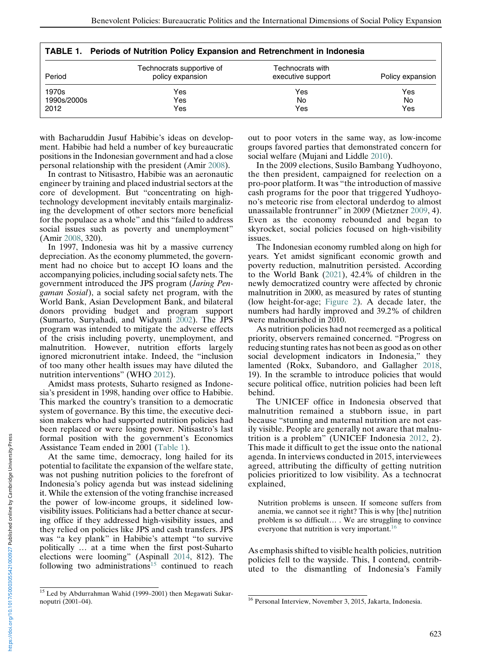<span id="page-8-0"></span>

| <b>TABLE 1. Periods of Nutrition Policy Expansion and Retrenchment in Indonesia</b> |                                               |                                       |                  |  |  |  |
|-------------------------------------------------------------------------------------|-----------------------------------------------|---------------------------------------|------------------|--|--|--|
| Period                                                                              | Technocrats supportive of<br>policy expansion | Technocrats with<br>executive support | Policy expansion |  |  |  |
| 1970s<br>1990s/2000s<br>2012                                                        | Yes<br>Yes<br>Yes                             | Yes<br>No<br>Yes                      | Yes<br>No<br>Yes |  |  |  |

|  |  | TABLE 1. Periods of Nutrition Policy Expansion and Retrenchment in Indonesia |
|--|--|------------------------------------------------------------------------------|
|  |  |                                                                              |

with Bacharuddin Jusuf Habibie's ideas on development. Habibie had held a number of key bureaucratic positions in the Indonesian government and had a close personal relationship with the president (Amir 2008).

In contrast to Nitisastro, Habibie was an aeronautic engineer by training and placed industrial sectors at the core of development. But "concentrating on hightechnology development inevitably entails marginalizing the development of other sectors more beneficial for the populace as a whole" and this "failed to address social issues such as poverty and unemployment" (Amir 2008, 320).

In 1997, Indonesia was hit by a massive currency depreciation. As the economy plummeted, the government had no choice but to accept IO loans and the accompanying policies, including social safety nets. The government introduced the JPS program (Jaring Pengaman Sosial), a social safety net program, with the World Bank, Asian Development Bank, and bilateral donors providing budget and program support (Sumarto, Suryahadi, and Widyanti 2002). The JPS program was intended to mitigate the adverse effects of the crisis including poverty, unemployment, and malnutrition. However, nutrition efforts largely ignored micronutrient intake. Indeed, the "inclusion of too many other health issues may have diluted the nutrition interventions" (WHO 2012).

Amidst mass protests, Suharto resigned as Indonesia's president in 1998, handing over office to Habibie. This marked the country's transition to a democratic system of governance. By this time, the executive decision makers who had supported nutrition policies had been replaced or were losing power. Nitisastro's last formal position with the government's Economics Assistance Team ended in 2001 (Table 1).

At the same time, democracy, long hailed for its potential to facilitate the expansion of the welfare state, was not pushing nutrition policies to the forefront of Indonesia's policy agenda but was instead sidelining it. While the extension of the voting franchise increased the power of low-income groups, it sidelined lowvisibility issues. Politicians had a better chance at securing office if they addressed high-visibility issues, and they relied on policies like JPS and cash transfers. JPS was "a key plank" in Habibie's attempt "to survive politically … at a time when the first post-Suharto elections were looming" (Aspinall 2014, 812). The following two administrations<sup>15</sup> continued to reach out to poor voters in the same way, as low-income groups favored parties that demonstrated concern for social welfare (Mujani and Liddle 2010).

In the 2009 elections, Susilo Bambang Yudhoyono, the then president, campaigned for reelection on a pro-poor platform. It was "the introduction of massive cash programs for the poor that triggered Yudhoyono's meteoric rise from electoral underdog to almost unassailable frontrunner" in 2009 (Mietzner 2009, 4). Even as the economy rebounded and began to skyrocket, social policies focused on high-visibility issues.

The Indonesian economy rumbled along on high for years. Yet amidst significant economic growth and poverty reduction, malnutrition persisted. According to the World Bank (2021), 42.4% of children in the newly democratized country were affected by chronic malnutrition in 2000, as measured by rates of stunting (low height-for-age; [Figure 2](#page-9-0)). A decade later, the numbers had hardly improved and 39.2% of children were malnourished in 2010.

As nutrition policies had not reemerged as a political priority, observers remained concerned. "Progress on reducing stunting rates has not been as good as on other social development indicators in Indonesia," they lamented (Rokx, Subandoro, and Gallagher 2018, 19). In the scramble to introduce policies that would secure political office, nutrition policies had been left behind.

The UNICEF office in Indonesia observed that malnutrition remained a stubborn issue, in part because "stunting and maternal nutrition are not easily visible. People are generally not aware that malnutrition is a problem" (UNICEF Indonesia 2012, 2). This made it difficult to get the issue onto the national agenda. In interviews conducted in 2015, interviewees agreed, attributing the difficulty of getting nutrition policies prioritized to low visibility. As a technocrat explained,

Nutrition problems is unseen. If someone suffers from anemia, we cannot see it right? This is why [the] nutrition problem is so difficult… . We are struggling to convince everyone that nutrition is very important.<sup>16</sup>

As emphasis shifted to visible health policies, nutrition policies fell to the wayside. This, I contend, contributed to the dismantling of Indonesia's Family

nttps://doi.org/10.1017/S0003055421000927 Published online by Cambridge University Press https://doi.org/10.1017/S0003055421000927 Published online by Cambridge University Press

<sup>&</sup>lt;sup>15</sup> Led by Abdurrahman Wahid (1999–2001) then Megawati Sukarnoputri (2001–04). 16 Personal Interview, November 3, 2015, Jakarta, Indonesia.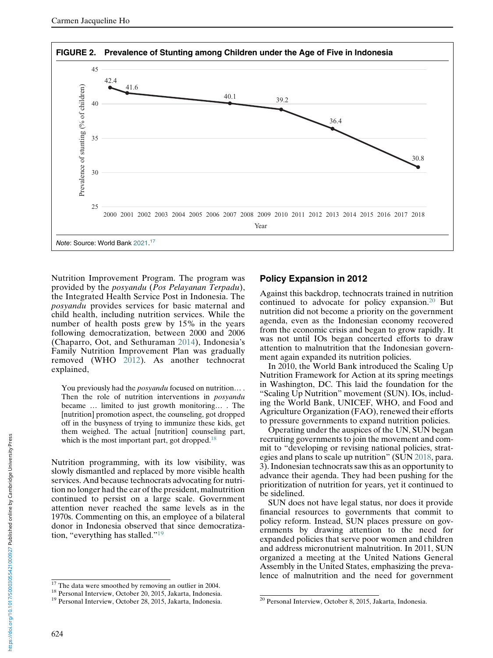<span id="page-9-0"></span>

Nutrition Improvement Program. The program was provided by the posyandu (Pos Pelayanan Terpadu), the Integrated Health Service Post in Indonesia. The posyandu provides services for basic maternal and child health, including nutrition services. While the number of health posts grew by 15% in the years following democratization, between 2000 and 2006 (Chaparro, Oot, and Sethuraman 2014), Indonesia's Family Nutrition Improvement Plan was gradually removed (WHO 2012). As another technocrat explained,

You previously had the *posyandu* focused on nutrition.... Then the role of nutrition interventions in *posyandu* became … limited to just growth monitoring… . The [nutrition] promotion aspect, the counseling, got dropped off in the busyness of trying to immunize these kids, get them weighed. The actual [nutrition] counseling part, which is the most important part, got dropped.<sup>18</sup>

Nutrition programming, with its low visibility, was slowly dismantled and replaced by more visible health services. And because technocrats advocating for nutrition no longer had the ear of the president, malnutrition continued to persist on a large scale. Government attention never reached the same levels as in the 1970s. Commenting on this, an employee of a bilateral donor in Indonesia observed that since democratization, "everything has stalled."<sup>19</sup>

### Policy Expansion in 2012

Against this backdrop, technocrats trained in nutrition continued to advocate for policy expansion.<sup>20</sup> But nutrition did not become a priority on the government agenda, even as the Indonesian economy recovered from the economic crisis and began to grow rapidly. It was not until IOs began concerted efforts to draw attention to malnutrition that the Indonesian government again expanded its nutrition policies.

In 2010, the World Bank introduced the Scaling Up Nutrition Framework for Action at its spring meetings in Washington, DC. This laid the foundation for the "Scaling Up Nutrition" movement (SUN). IOs, including the World Bank, UNICEF, WHO, and Food and Agriculture Organization (FAO), renewed their efforts to pressure governments to expand nutrition policies.

Operating under the auspices of the UN, SUN began recruiting governments to join the movement and commit to "developing or revising national policies, strategies and plans to scale up nutrition" (SUN 2018, para. 3). Indonesian technocrats saw this as an opportunity to advance their agenda. They had been pushing for the prioritization of nutrition for years, yet it continued to be sidelined.

SUN does not have legal status, nor does it provide financial resources to governments that commit to policy reform. Instead, SUN places pressure on governments by drawing attention to the need for expanded policies that serve poor women and children and address micronutrient malnutrition. In 2011, SUN organized a meeting at the United Nations General Assembly in the United States, emphasizing the prevalence of malnutrition and the need for government

<sup>&</sup>lt;sup>17</sup> The data were smoothed by removing an outlier in 2004.<br><sup>18</sup> Personal Interview, October 20, 2015, Jakarta, Indonesia.<br><sup>19</sup> Personal Interview, October 28, 2015, Jakarta, Indonesia.<br><sup>19</sup> Personal Interview, October 28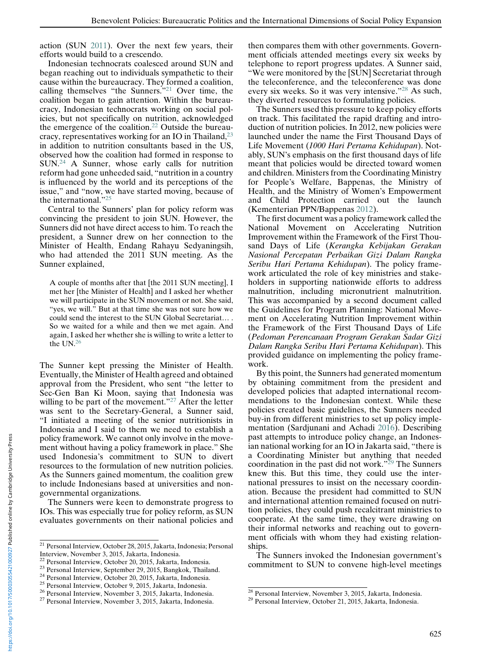action (SUN 2011). Over the next few years, their efforts would build to a crescendo.

Indonesian technocrats coalesced around SUN and began reaching out to individuals sympathetic to their cause within the bureaucracy. They formed a coalition, calling themselves "the Sunners."<sup>21</sup> Over time, the coalition began to gain attention. Within the bureaucracy, Indonesian technocrats working on social policies, but not specifically on nutrition, acknowledged the emergence of the coalition.<sup>22</sup> Outside the bureaucracy, representatives working for an IO in Thailand,<sup>23</sup> in addition to nutrition consultants based in the US, observed how the coalition had formed in response to SUN.<sup>24</sup> A Sunner, whose early calls for nutrition reform had gone unheeded said, "nutrition in a country is influenced by the world and its perceptions of the issue," and "now, we have started moving, because of the international."<sup>25</sup>

Central to the Sunners' plan for policy reform was convincing the president to join SUN. However, the Sunners did not have direct access to him. To reach the president, a Sunner drew on her connection to the Minister of Health, Endang Rahayu Sedyaningsih, who had attended the 2011 SUN meeting. As the Sunner explained,

A couple of months after that [the 2011 SUN meeting], I met her [the Minister of Health] and I asked her whether we will participate in the SUN movement or not. She said, "yes, we will." But at that time she was not sure how we could send the interest to the SUN Global Secretariat… . So we waited for a while and then we met again. And again, I asked her whether she is willing to write a letter to the  $UN.<sup>26</sup>$ 

The Sunner kept pressing the Minister of Health. Eventually, the Minister of Health agreed and obtained approval from the President, who sent "the letter to Sec-Gen Ban Ki Moon, saying that Indonesia was willing to be part of the movement."<sup>27</sup> After the letter was sent to the Secretary-General, a Sunner said, "I initiated a meeting of the senior nutritionists in Indonesia and I said to them we need to establish a policy framework. We cannot only involve in the movement without having a policy framework in place." She used Indonesia's commitment to SUN to divert resources to the formulation of new nutrition policies. As the Sunners gained momentum, the coalition grew to include Indonesians based at universities and nongovernmental organizations.

The Sunners were keen to demonstrate progress to IOs. This was especially true for policy reform, as SUN evaluates governments on their national policies and

then compares them with other governments. Government officials attended meetings every six weeks by telephone to report progress updates. A Sunner said, "We were monitored by the [SUN] Secretariat through the teleconference, and the teleconference was done every six weeks. So it was very intensive."<sup>28</sup> As such, they diverted resources to formulating policies.

The Sunners used this pressure to keep policy efforts on track. This facilitated the rapid drafting and introduction of nutrition policies. In 2012, new policies were launched under the name the First Thousand Days of Life Movement (1000 Hari Pertama Kehidupan). Notably, SUN's emphasis on the first thousand days of life meant that policies would be directed toward women and children. Ministers from the Coordinating Ministry for People's Welfare, Bappenas, the Ministry of Health, and the Ministry of Women's Empowerment and Child Protection carried out the launch (Kementerian PPN/Bappenas 2012).

The first document was a policy framework called the National Movement on Accelerating Nutrition Improvement within the Framework of the First Thousand Days of Life (Kerangka Kebijakan Gerakan Nasional Percepatan Perbaikan Gizi Dalam Rangka Seribu Hari Pertama Kehidupan). The policy framework articulated the role of key ministries and stakeholders in supporting nationwide efforts to address malnutrition, including micronutrient malnutrition. This was accompanied by a second document called the Guidelines for Program Planning: National Movement on Accelerating Nutrition Improvement within the Framework of the First Thousand Days of Life (Pedoman Perencanaan Program Gerakan Sadar Gizi Dalam Rangka Seribu Hari Pertama Kehidupan). This provided guidance on implementing the policy framework.

By this point, the Sunners had generated momentum by obtaining commitment from the president and developed policies that adapted international recommendations to the Indonesian context. While these policies created basic guidelines, the Sunners needed buy-in from different ministries to set up policy implementation (Sardjunani and Achadi 2016). Describing past attempts to introduce policy change, an Indonesian national working for an IO in Jakarta said, "there is a Coordinating Minister but anything that needed coordination in the past did not work." $^{29}$  The Sunners knew this. But this time, they could use the international pressures to insist on the necessary coordination. Because the president had committed to SUN and international attention remained focused on nutrition policies, they could push recalcitrant ministries to cooperate. At the same time, they were drawing on their informal networks and reaching out to government officials with whom they had existing relationships.

The Sunners invoked the Indonesian government's commitment to SUN to convene high-level meetings

 $\frac{21}{21}$  Personal Interview, October 28, 2015, Jakarta, Indonesia; Personal

Interview, November 3, 2015, Jakarta, Indonesia.

<sup>&</sup>lt;sup>23</sup> Personal Interview, September 29, 2015, Bangkok, Thailand.<br><sup>24</sup> Personal Interview, October 20, 2015, Jakarta, Indonesia.<br><sup>25</sup> Personal Interview, October 9, 2015, Jakarta, Indonesia.<br><sup>26</sup> Personal Interview, Novembe

<sup>&</sup>lt;sup>28</sup> Personal Interview, November 3, 2015, Jakarta, Indonesia.<br><sup>29</sup> Personal Interview, October 21, 2015, Jakarta, Indonesia.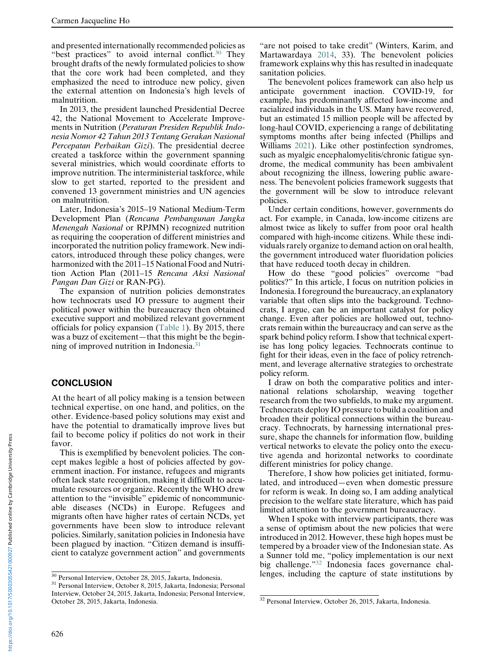and presented internationally recommended policies as "best practices" to avoid internal conflict.<sup>30</sup> They brought drafts of the newly formulated policies to show that the core work had been completed, and they emphasized the need to introduce new policy, given the external attention on Indonesia's high levels of malnutrition.

In 2013, the president launched Presidential Decree 42, the National Movement to Accelerate Improvements in Nutrition (Peraturan Presiden Republik Indonesia Nomor 42 Tahun 2013 Tentang Gerakan Nasional Percepatan Perbaikan Gizi). The presidential decree created a taskforce within the government spanning several ministries, which would coordinate efforts to improve nutrition. The interministerial taskforce, while slow to get started, reported to the president and convened 13 government ministries and UN agencies on malnutrition.

Later, Indonesia's 2015–19 National Medium-Term Development Plan (Rencana Pembangunan Jangka Menengah Nasional or RPJMN) recognized nutrition as requiring the cooperation of different ministries and incorporated the nutrition policy framework. New indicators, introduced through these policy changes, were harmonized with the 2011–15 National Food and Nutrition Action Plan (2011–15 Rencana Aksi Nasional Pangan Dan Gizi or RAN-PG).

The expansion of nutrition policies demonstrates how technocrats used IO pressure to augment their political power within the bureaucracy then obtained executive support and mobilized relevant government officials for policy expansion [\(Table 1\)](#page-8-0). By 2015, there was a buzz of excitement—that this might be the beginning of improved nutrition in Indonesia.<sup>31</sup>

#### **CONCLUSION**

At the heart of all policy making is a tension between technical expertise, on one hand, and politics, on the other. Evidence-based policy solutions may exist and have the potential to dramatically improve lives but fail to become policy if politics do not work in their favor.

This is exemplified by benevolent policies. The concept makes legible a host of policies affected by government inaction. For instance, refugees and migrants often lack state recognition, making it difficult to accumulate resources or organize. Recently the WHO drew attention to the "invisible" epidemic of noncommunicable diseases (NCDs) in Europe. Refugees and migrants often have higher rates of certain NCDs, yet governments have been slow to introduce relevant policies. Similarly, sanitation policies in Indonesia have been plagued by inaction. "Citizen demand is insufficient to catalyze government action" and governments

"are not poised to take credit" (Winters, Karim, and Martawardaya 2014, 33). The benevolent policies framework explains why this has resulted in inadequate sanitation policies.

The benevolent polices framework can also help us anticipate government inaction. COVID-19, for example, has predominantly affected low-income and racialized individuals in the US. Many have recovered, but an estimated 15 million people will be affected by long-haul COVID, experiencing a range of debilitating symptoms months after being infected (Phillips and Williams 2021). Like other postinfection syndromes, such as myalgic encephalomyelitis/chronic fatigue syndrome, the medical community has been ambivalent about recognizing the illness, lowering public awareness. The benevolent policies framework suggests that the government will be slow to introduce relevant policies.

Under certain conditions, however, governments do act. For example, in Canada, low-income citizens are almost twice as likely to suffer from poor oral health compared with high-income citizens. While these individuals rarely organize to demand action on oral health, the government introduced water fluoridation policies that have reduced tooth decay in children.

How do these "good policies" overcome "bad politics?" In this article, I focus on nutrition policies in Indonesia. I foreground the bureaucracy, an explanatory variable that often slips into the background. Technocrats, I argue, can be an important catalyst for policy change. Even after policies are hollowed out, technocrats remain within the bureaucracy and can serve as the spark behind policy reform. I show that technical expertise has long policy legacies. Technocrats continue to fight for their ideas, even in the face of policy retrenchment, and leverage alternative strategies to orchestrate policy reform.

I draw on both the comparative politics and international relations scholarship, weaving together research from the two subfields, to make my argument. Technocrats deploy IO pressure to build a coalition and broaden their political connections within the bureaucracy. Technocrats, by harnessing international pressure, shape the channels for information flow, building vertical networks to elevate the policy onto the executive agenda and horizontal networks to coordinate different ministries for policy change.

Therefore, I show how policies get initiated, formulated, and introduced—even when domestic pressure for reform is weak. In doing so, I am adding analytical precision to the welfare state literature, which has paid limited attention to the government bureaucracy.

When I spoke with interview participants, there was a sense of optimism about the new policies that were introduced in 2012. However, these high hopes must be tempered by a broader view of the Indonesian state. As a Sunner told me, "policy implementation is our next big challenge."<sup>32</sup> Indonesia faces governance chal- $\frac{30}{30}$  Personal Interview, October 28, 2015, Jakarta, Indonesia. lenges, including the capture of state institutions by  $\frac{31}{31}$  Personal Interview, October 8, 2015, Jakarta, Indonesia; Personal

Interview, October 24, 2015, Jakarta, Indonesia; Personal Interview, October 28, 2015, Jakarta, Indonesia. <sup>32</sup> Personal Interview, October 26, 2015, Jakarta, Indonesia.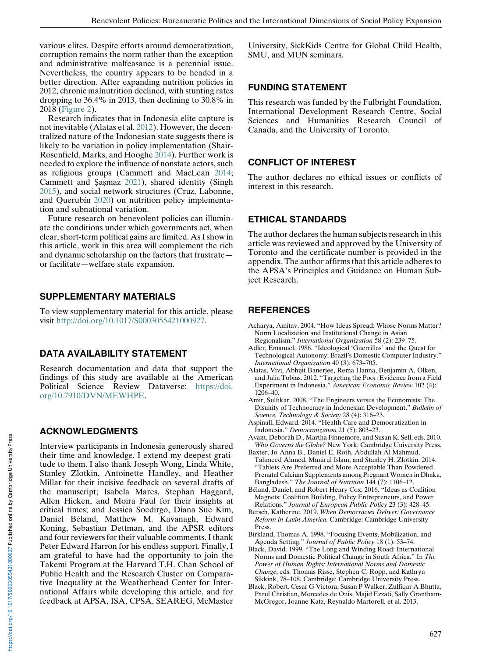various elites. Despite efforts around democratization, corruption remains the norm rather than the exception and administrative malfeasance is a perennial issue. Nevertheless, the country appears to be headed in a better direction. After expanding nutrition policies in 2012, chronic malnutrition declined, with stunting rates dropping to 36.4% in 2013, then declining to 30.8% in 2018 [\(Figure 2\)](#page-9-0).

Research indicates that in Indonesia elite capture is not inevitable (Alatas et al. 2012). However, the decentralized nature of the Indonesian state suggests there is likely to be variation in policy implementation (Shair-Rosenfield, Marks, and Hooghe 2014). Further work is needed to explore the influence of nonstate actors, such as religious groups (Cammett and MacLean 2014; Cammett and Şaşmaz 2021), shared identity (Singh 2015), and social network structures (Cruz, Labonne, and Querubín 2020) on nutrition policy implementation and subnational variation.

Future research on benevolent policies can illuminate the conditions under which governments act, when clear, short-term political gains are limited. As I show in this article, work in this area will complement the rich and dynamic scholarship on the factors that frustrate or facilitate—welfare state expansion.

# SUPPLEMENTARY MATERIALS

To view supplementary material for this article, please visit [http://doi.org/10.1017/S0003055421000927.](http://doi.org/10.1017/S0003055421000927)

# DATA AVAILABILITY STATEMENT

Research documentation and data that support the findings of this study are available at the American Political Science Review Dataverse: [https://doi.](https://doi.org/10.7910/DVN/MEWHPE) [org/10.7910/DVN/MEWHPE.](https://doi.org/10.7910/DVN/MEWHPE)

### ACKNOWLEDGMENTS

Interview participants in Indonesia generously shared their time and knowledge. I extend my deepest gratitude to them. I also thank Joseph Wong, Linda White, Stanley Zlotkin, Antoinette Handley, and Heather Millar for their incisive feedback on several drafts of the manuscript; Isabela Mares, Stephan Haggard, Allen Hicken, and Moira Faul for their insights at critical times; and Jessica Soedirgo, Diana Sue Kim, Daniel Béland, Matthew M. Kavanagh, Edward Koning, Sebastian Dettman, and the APSR editors and four reviewers for their valuable comments. I thank Peter Edward Harron for his endless support. Finally, I am grateful to have had the opportunity to join the Takemi Program at the Harvard T.H. Chan School of Public Health and the Research Cluster on Comparative Inequality at the Weatherhead Center for International Affairs while developing this article, and for feedback at APSA, ISA, CPSA, SEAREG, McMaster University, SickKids Centre for Global Child Health, SMU, and MUN seminars.

### FUNDING STATEMENT

This research was funded by the Fulbright Foundation, International Development Research Centre, Social Sciences and Humanities Research Council of Canada, and the University of Toronto.

### CONFLICT OF INTEREST

The author declares no ethical issues or conflicts of interest in this research.

# ETHICAL STANDARDS

The author declares the human subjects research in this article was reviewed and approved by the University of Toronto and the certificate number is provided in the appendix. The author affirms that this article adheres to the APSA's Principles and Guidance on Human Subject Research.

# **REFERENCES**

- Acharya, Amitav. 2004. "How Ideas Spread: Whose Norms Matter? Norm Localization and Institutional Change in Asian Regionalism." International Organization 58 (2): 239–75.
- Adler, Emanuel. 1986. "Ideological 'Guerrillas' and the Quest for Technological Autonomy: Brazil's Domestic Computer Industry." International Organization 40 (3): 673–705.
- Alatas, Vivi, Abhijit Banerjee, Rema Hanna, Benjamin A. Olken, and Julia Tobias. 2012. "Targeting the Poor: Evidence from a Field Experiment in Indonesia." American Economic Review 102 (4): 1206–40.
- Amir, Sulfikar. 2008. "The Engineers versus the Economists: The Disunity of Technocracy in Indonesian Development." Bulletin of Science, Technology & Society 28 (4): 316–23.
- Aspinall, Edward. 2014. "Health Care and Democratization in Indonesia." Democratization 21 (5): 803–23.
- Avant, Deborah D., Martha Finnemore, and Susan K. Sell, eds. 2010. Who Governs the Globe? New York: Cambridge University Press.
- Baxter, Jo-Anna B., Daniel E. Roth, Abdullah Al Mahmud, Tahmeed Ahmed, Munirul Islam, and Stanley H. Zlotkin. 2014. "Tablets Are Preferred and More Acceptable Than Powdered Prenatal Calcium Supplements among Pregnant Women in Dhaka, Bangladesh." The Journal of Nutrition 144 (7): 1106-12.
- Béland, Daniel, and Robert Henry Cox. 2016. "Ideas as Coalition Magnets: Coalition Building, Policy Entrepreneurs, and Power Relations." Journal of European Public Policy 23 (3): 428–45.
- Bersch, Katherine. 2019. When Democracies Deliver: Governance Reform in Latin America. Cambridge: Cambridge University Press.
- Birkland, Thomas A. 1998. "Focusing Events, Mobilization, and Agenda Setting." Journal of Public Policy 18 (1): 53–74.
- Black, David. 1999. "The Long and Winding Road: International Norms and Domestic Political Change in South Africa." In The Power of Human Rights: International Norms and Domestic Change, eds. Thomas Risse, Stephen C. Ropp, and Kathryn Sikkink, 78–108. Cambridge: Cambridge University Press.
- Black, Robert, Cesar G Victora, Susan P Walker, Zulfiqar A Bhutta, Parul Christian, Mercedes de Onis, Majid Ezzati, Sally Grantham-McGregor, Joanne Katz, Reynaldo Martorell, et al. 2013.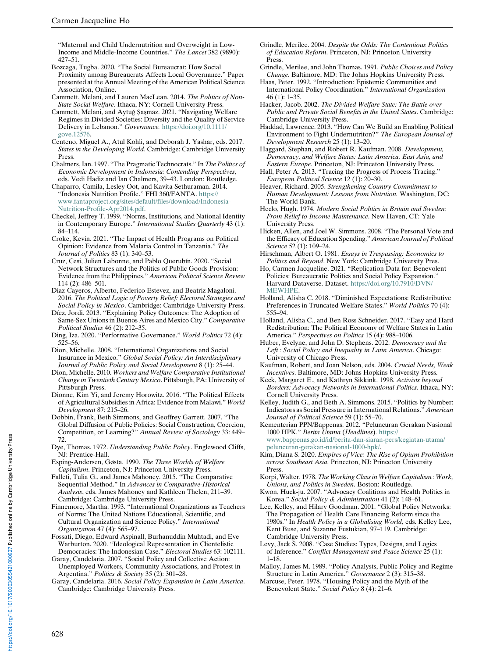"Maternal and Child Undernutrition and Overweight in Low-Income and Middle-Income Countries." The Lancet 382 (9890): 427–51.

- Bozcaga, Tugba. 2020. "The Social Bureaucrat: How Social Proximity among Bureaucrats Affects Local Governance." Paper presented at the Annual Meeting of the American Political Science Association, Online.
- Cammett, Melani, and Lauren MacLean. 2014. The Politics of Non-State Social Welfare. Ithaca, NY: Cornell University Press.
- Cammett, Melani, and Aytuğ Şaşmaz. 2021. "Navigating Welfare Regimes in Divided Societies: Diversity and the Quality of Service Delivery in Lebanon." Governance. [https://doi.org/10.1111/](https://doi.org/10.1111/gove.12576) [gove.12576](https://doi.org/10.1111/gove.12576).
- Centeno, Miguel A., Atul Kohli, and Deborah J. Yashar, eds. 2017. States in the Developing World. Cambridge: Cambridge University Press.
- Chalmers, Ian. 1997. "The Pragmatic Technocrats." In The Politics of Economic Development in Indonesia: Contending Perspectives, eds. Vedi Hadiz and Ian Chalmers, 39–43. London: Routledge.
- Chaparro, Camila, Lesley Oot, and Kavita Sethuraman. 2014. "Indonesia Nutrition Profile." FHI 360/FANTA. [https://](https://www.fantaproject.org/sites/default/files/download/Indonesia-Nutrition-Profile-Apr2014.pdf) [www.fantaproject.org/sites/default/files/download/Indonesia-](https://www.fantaproject.org/sites/default/files/download/Indonesia-Nutrition-Profile-Apr2014.pdf)[Nutrition-Profile-Apr2014.pdf.](https://www.fantaproject.org/sites/default/files/download/Indonesia-Nutrition-Profile-Apr2014.pdf)
- Checkel, Jeffrey T. 1999. "Norms, Institutions, and National Identity in Contemporary Europe." International Studies Quarterly 43 (1): 84–114.
- Croke, Kevin. 2021. "The Impact of Health Programs on Political Opinion: Evidence from Malaria Control in Tanzania." The Journal of Politics 83 (1): 340–53.
- Cruz, Cesi, Julien Labonne, and Pablo Querubín. 2020. "Social Network Structures and the Politics of Public Goods Provision: Evidence from the Philippines." American Political Science Review 114 (2): 486–501.
- Diaz-Cayeros, Alberto, Federico Estevez, and Beatriz Magaloni. 2016. The Political Logic of Poverty Relief: Electoral Strategies and Social Policy in Mexico. Cambridge: Cambridge University Press.
- Díez, Jordi. 2013. "Explaining Policy Outcomes: The Adoption of Same-Sex Unions in Buenos Aires and Mexico City." Comparative Political Studies 46 (2): 212–35.
- Ding, Iza. 2020. "Performative Governance." World Politics 72 (4): 525–56.
- Dion, Michelle. 2008. "International Organizations and Social Insurance in Mexico." Global Social Policy: An Interdisciplinary Journal of Public Policy and Social Development 8 (1): 25–44.
- Dion, Michelle. 2010. Workers and Welfare Comparative Institutional Change in Twentieth Century Mexico. Pittsburgh, PA: University of Pittsburgh Press.
- Dionne, Kim Yi, and Jeremy Horowitz. 2016. "The Political Effects of Agricultural Subsidies in Africa: Evidence from Malawi." World Development 87: 215–26.
- Dobbin, Frank, Beth Simmons, and Geoffrey Garrett. 2007. "The Global Diffusion of Public Policies: Social Construction, Coercion, Competition, or Learning?" Annual Review of Sociology 33: 449– 72.
- Dye, Thomas. 1972. Understanding Public Policy. Englewood Cliffs, NJ: Prentice-Hall.
- Esping-Andersen, Gøsta. 1990. The Three Worlds of Welfare Capitalism. Princeton, NJ: Princeton University Press.
- Falleti, Tulia G., and James Mahoney. 2015. "The Comparative Sequential Method." In Advances in Comparative-Historical Analysis, eds. James Mahoney and Kathleen Thelen, 211–39. Cambridge: Cambridge University Press.
- Finnemore, Martha. 1993. "International Organizations as Teachers of Norms: The United Nations Educational, Scientific, and Cultural Organization and Science Policy." International Organization 47 (4): 565–97.
- Fossati, Diego, Edward Aspinall, Burhanuddin Muhtadi, and Eve Warburton. 2020. "Ideological Representation in Clientelistic Democracies: The Indonesian Case." Electoral Studies 63: 102111.
- Garay, Candelaria. 2007. "Social Policy and Collective Action: Unemployed Workers, Community Associations, and Protest in Argentina." Politics & Society 35 (2): 301-28.
- Garay, Candelaria. 2016. Social Policy Expansion in Latin America. Cambridge: Cambridge University Press.
- Grindle, Merilee. 2004. Despite the Odds: The Contentious Politics of Education Reform. Princeton, NJ: Princeton University Press.
- Grindle, Merilee, and John Thomas. 1991. Public Choices and Policy Change. Baltimore, MD: The Johns Hopkins University Press.
- Haas, Peter. 1992. "Introduction: Epistemic Communities and International Policy Coordination." International Organization 46 (1): 1–35.
- Hacker, Jacob. 2002. The Divided Welfare State: The Battle over Public and Private Social Benefits in the United States. Cambridge: Cambridge University Press.
- Haddad, Lawrence. 2013. "How Can We Build an Enabling Political Environment to Fight Undernutriton?" The European Journal of Development Research 25 (1): 13–20.
- Haggard, Stephan, and Robert R. Kaufman. 2008. Development, Democracy, and Welfare States: Latin America, East Asia, and Eastern Europe. Princeton, NJ: Princeton University Press.
- Hall, Peter A. 2013. "Tracing the Progress of Process Tracing." European Political Science 12 (1): 20–30.
- Heaver, Richard. 2005. Strengthening Country Commitment to Human Development: Lessons from Nutrition. Washington, DC: The World Bank.
- Heclo, Hugh. 1974. Modern Social Politics in Britain and Sweden: From Relief to Income Maintenance. New Haven, CT: Yale University Press.
- Hicken, Allen, and Joel W. Simmons. 2008. "The Personal Vote and the Efficacy of Education Spending." American Journal of Political Science 52 (1): 109–24.
- Hirschman, Albert O. 1981. Essays in Trespassing: Economics to Politics and Beyond. New York: Cambridge University Pres.
- Ho, Carmen Jacqueline. 2021. "Replication Data for: Benevolent Policies: Bureaucratic Politics and Social Policy Expansion." Harvard Dataverse. Dataset. [https://doi.org/10.7910/DVN/](https://doi.org/10.7910/DVN/MEWHPE) [MEWHPE](https://doi.org/10.7910/DVN/MEWHPE).
- Holland, Alisha C. 2018. "Diminished Expectations: Redistributive Preferences in Truncated Welfare States." World Politics 70 (4): 555–94.
- Holland, Alisha C., and Ben Ross Schneider. 2017. "Easy and Hard Redistribution: The Political Economy of Welfare States in Latin America." Perspectives on Politics 15 (4): 988-1006.
- Huber, Evelyne, and John D. Stephens. 2012. Democracy and the Left : Social Policy and Inequality in Latin America. Chicago: University of Chicago Press.
- Kaufman, Robert, and Joan Nelson, eds. 2004. Crucial Needs, Weak Incentives. Baltimore, MD: Johns Hopkins University Press.
- Keck, Margaret E., and Kathryn Sikkink. 1998. Activists beyond Borders: Advocacy Networks in International Politics. Ithaca, NY: Cornell University Press.
- Kelley, Judith G., and Beth A. Simmons. 2015. "Politics by Number: Indicators as Social Pressure in International Relations." American Journal of Political Science 59 (1): 55–70.
- Kementerian PPN/Bappenas. 2012. "Peluncuran Gerakan Nasional 1000 HPK." Berita Utama (Headlines). [https://](https://www.bappenas.go.id/id/berita-dan-siaran-pers/kegiatan-utama/peluncuran-gerakan-nasional-1000-hpk/) [www.bappenas.go.id/id/berita-dan-siaran-pers/kegiatan-utama/](https://www.bappenas.go.id/id/berita-dan-siaran-pers/kegiatan-utama/peluncuran-gerakan-nasional-1000-hpk/)
- [peluncuran-gerakan-nasional-1000-hpk/.](https://www.bappenas.go.id/id/berita-dan-siaran-pers/kegiatan-utama/peluncuran-gerakan-nasional-1000-hpk/)
- Kim, Diana S. 2020. Empires of Vice: The Rise of Opium Prohibition across Southeast Asia. Princeton, NJ: Princeton University Press.
- Korpi, Walter. 1978. The Working Class in Welfare Capitalism : Work, Unions, and Politics in Sweden. Boston: Routledge.
- Kwon, Huck-ju. 2007. "Advocacy Coalitions and Health Politics in Korea." Social Policy & Administration 41 (2): 148–61.
- Lee, Kelley, and Hilary Goodman. 2001. "Global Policy Networks: The Propagation of Health Care Financing Reform since the 1980s." In Health Policy in a Globalising World, eds. Kelley Lee, Kent Buse, and Suzanne Fustukian, 97–119. Cambridge: Cambridge University Press.
- Levy, Jack S. 2008. "Case Studies: Types, Designs, and Logics of Inference." Conflict Management and Peace Science 25 (1): 1–18.
- Malloy, James M. 1989. "Policy Analysts, Public Policy and Regime Structure in Latin America." Governance 2 (3): 315–38.
- Marcuse, Peter. 1978. "Housing Policy and the Myth of the Benevolent State." Social Policy 8 (4): 21–6.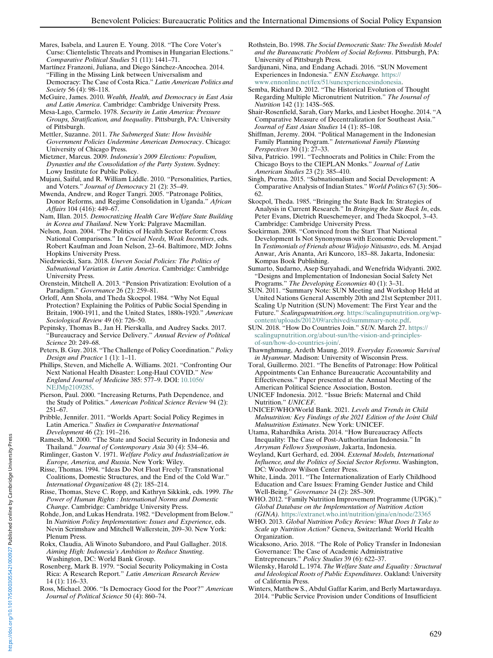- Mares, Isabela, and Lauren E. Young. 2018. "The Core Voter's Curse: Clientelistic Threats and Promises in Hungarian Elections." Comparative Political Studies 51 (11): 1441–71.
- Martínez Franzoni, Juliana, and Diego Sánchez-Ancochea. 2014. "Filling in the Missing Link between Universalism and Democracy: The Case of Costa Rica." Latin American Politics and Society 56 (4): 98–118.
- McGuire, James. 2010. Wealth, Health, and Democracy in East Asia and Latin America. Cambridge: Cambridge University Press.
- Mesa-Lago, Carmelo. 1978. Security in Latin America: Pressure Groups, Stratification, and Inequality. Pittsburgh, PA: University of Pittsburgh.
- Mettler, Suzanne. 2011. The Submerged State: How Invisible Government Policies Undermine American Democracy. Chicago: University of Chicago Press.
- Mietzner, Marcus. 2009. Indonesia's 2009 Elections: Populism, Dynasties and the Consolidation of the Party System. Sydney: Lowy Institute for Public Policy.
- Mujani, Saiful, and R. William Liddle. 2010. "Personalities, Parties, and Voters." Journal of Democracy 21 (2): 35–49.
- Mwenda, Andrew, and Roger Tangri. 2005. "Patronage Politics, Donor Reforms, and Regime Consolidation in Uganda." African Affairs 104 (416): 449–67.
- Nam, Illan. 2015. Democratizing Health Care Welfare State Building in Korea and Thailand. New York: Palgrave Macmillan.
- Nelson, Joan. 2004. "The Politics of Health Sector Reform: Cross National Comparisons." In Crucial Needs, Weak Incentives, eds. Robert Kaufman and Joan Nelson, 23–64. Baltimore, MD: Johns Hopkins University Press.
- Niedzwiecki, Sara. 2018. Uneven Social Policies: The Politics of Subnational Variation in Latin America. Cambridge: Cambridge University Press.
- Orenstein, Mitchell A. 2013. "Pension Privatization: Evolution of a Paradigm." Governance 26 (2): 259–81.
- Orloff, Ann Shola, and Theda Skocpol. 1984. "Why Not Equal Protection? Explaining the Politics of Public Social Spending in Britain, 1900-1911, and the United States, 1880s-1920." American Sociological Review 49 (6): 726–50.
- Pepinsky, Thomas B., Jan H. Pierskalla, and Audrey Sacks. 2017. "Bureaucracy and Service Delivery." Annual Review of Political Science 20: 249–68.
- Peters, B. Guy. 2018. "The Challenge of Policy Coordination." Policy Design and Practice 1 (1): 1–11.
- Phillips, Steven, and Michelle A. Williams. 2021. "Confronting Our Next National Health Disaster: Long-Haul COVID." New England Journal of Medicine 385: 577–9. DOI: [10.1056/](https://doi.org/10.1056/NEJMp2109285) [NEJMp2109285.](https://doi.org/10.1056/NEJMp2109285)
- Pierson, Paul. 2000. "Increasing Returns, Path Dependence, and the Study of Politics." American Political Science Review 94 (2): 251–67.
- Pribble, Jennifer. 2011. "Worlds Apart: Social Policy Regimes in Latin America." Studies in Comparative International Development 46 (2): 191–216.
- Ramesh, M. 2000. "The State and Social Security in Indonesia and Thailand." Journal of Contemporary Asia 30 (4): 534–46.
- Rimlinger, Gaston V. 1971. Welfare Policy and Industrialization in Europe, America, and Russia. New York: Wiley.
- Risse, Thomas. 1994. "Ideas Do Not Float Freely: Transnational Coalitions, Domestic Structures, and the End of the Cold War." International Organization 48 (2): 185–214.
- Risse, Thomas, Steve C. Ropp, and Kathryn Sikkink, eds. 1999. The Power of Human Rights : International Norms and Domestic Change. Cambridge: Cambridge University Press.
- Rohde, Jon, and Lukas Hendrata. 1982. "Development from Below." In Nutrition Policy Implementation: Issues and Experience, eds. Nevin Scrimshaw and Mitchell Wallerstein, 209–30. New York: Plenum Press.
- Rokx, Claudia, Ali Winoto Subandoro, and Paul Gallagher. 2018. Aiming High: Indonesia's Ambition to Reduce Stunting. Washington, DC: World Bank Group.
- Rosenberg, Mark B. 1979. "Social Security Policymaking in Costa Rica: A Research Report." Latin American Research Review 14 (1): 116–33.
- Ross, Michael. 2006. "Is Democracy Good for the Poor?" American Journal of Political Science 50 (4): 860–74.
- Rothstein, Bo. 1998. The Social Democratic State: The Swedish Model and the Bureaucratic Problem of Social Reforms. Pittsburgh, PA: University of Pittsburgh Press.
- Sardjunani, Nina, and Endang Achadi. 2016. "SUN Movement Experiences in Indonesia." ENN Exchange. [https://](https://www.ennonline.net/fex/51/sunexperiencesindonesia) [www.ennonline.net/fex/51/sunexperiencesindonesia.](https://www.ennonline.net/fex/51/sunexperiencesindonesia)
- Semba, Richard D. 2012. "The Historical Evolution of Thought Regarding Multiple Micronutrient Nutrition." The Journal of Nutrition 142 (1): 143S–56S.
- Shair-Rosenfield, Sarah, Gary Marks, and Liesbet Hooghe. 2014. "A Comparative Measure of Decentralization for Southeast Asia." Journal of East Asian Studies 14 (1): 85–108.
- Shiffman, Jeremy. 2004. "Political Management in the Indonesian Family Planning Program." International Family Planning Perspectives 30 (1): 27–33.
- Silva, Patricio. 1991. "Technocrats and Politics in Chile: From the Chicago Boys to the CIEPLAN Monks." Journal of Latin American Studies 23 (2): 385–410.
- Singh, Prerna. 2015. "Subnationalism and Social Development: A Comparative Analysis of Indian States." World Politics 67 (3): 506– 62.
- Skocpol, Theda. 1985. "Bringing the State Back In: Strategies of Analysis in Current Research." In Bringing the State Back In, eds. Peter Evans, Dietrich Rueschemeyer, and Theda Skocpol, 3–43. Cambridge: Cambridge University Press.
- Soekirman. 2008. "Convinced from the Start That National Development Is Not Synonymous with Economic Development." In Testimonials of Friends about Widjojo Nitisastro, eds. M. Arsjad Anwar, Aris Ananta, Ari Kuncoro, 183–88. Jakarta, Indonesia: Kompas Book Publishing.
- Sumarto, Sudarno, Asep Suryahadi, and Wenefrida Widyanti. 2002. "Designs and Implementation of Indonesian Social Safety Net Programs." The Developing Economies 40 (1): 3-31.
- SUN. 2011. "Summary Note: SUN Meeting and Workshop Held at United Nations General Assembly 20th and 21st September 2011. Scaling Up Nutrition (SUN) Movement: The First Year and the Future." Scalingupnutrition.org. [https://scalingupnutrition.org/wp](https://scalingupnutrition.org/wp-content/uploads/2012/09/archived/summmary-note.pdf)[content/uploads/2012/09/archived/summmary-note.pdf](https://scalingupnutrition.org/wp-content/uploads/2012/09/archived/summmary-note.pdf).
- SUN. 2018. "How Do Countries Join." SUN. March 27. [https://](https://scalingupnutrition.org/about-sun/the-vision-and-principles-of-sun/how-do-countries-join/) [scalingupnutrition.org/about-sun/the-vision-and-principles](https://scalingupnutrition.org/about-sun/the-vision-and-principles-of-sun/how-do-countries-join/)[of-sun/how-do-countries-join/](https://scalingupnutrition.org/about-sun/the-vision-and-principles-of-sun/how-do-countries-join/).
- Thawnghmung, Ardeth Maung. 2019. Everyday Economic Survival in Myanmar. Madison: University of Wisconsin Press.
- Toral, Guillermo. 2021. "The Benefits of Patronage: How Political Appointments Can Enhance Bureaucratic Accountability and Effectiveness." Paper presented at the Annual Meeting of the American Political Science Association, Boston.
- UNICEF Indonesia. 2012. "Issue Briefs: Maternal and Child Nutrition." UNICEF.
- UNICEF/WHO/World Bank. 2021. Levels and Trends in Child Malnutrition: Key Findings of the 2021 Edition of the Joint Child Malnutrition Estimates. New York: UNICEF.
- Utama, Rahardhika Arista. 2014. "How Bureaucracy Affects Inequality: The Case of Post-Authoritarian Indonesia." In Arryman Fellows Symposium, Jakarta, Indonesia.
- Weyland, Kurt Gerhard, ed. 2004. External Models, International Influence, and the Politics of Social Sector Reforms. Washington, DC: Woodrow Wilson Center Press.
- White, Linda. 2011. "The Internationalization of Early Childhood Education and Care Issues: Framing Gender Justice and Child Well-Being." Governance 24 (2): 285–309.
- WHO. 2012. "Family Nutrition Improvement Programme (UPGK)." Global Database on the Implementation of Nutrition Action (GINA). <https://extranet.who.int/nutrition/gina/en/node/23365>
- WHO. 2013. Global Nutrition Policy Review: What Does It Take to Scale up Nutrition Action? Geneva, Switzerland: World Health Organization.
- Wicaksono, Ario. 2018. "The Role of Policy Transfer in Indonesian Governance: The Case of Academic Administrative Entrepreneurs." Policy Studies 39 (6): 622–37.
- Wilensky, Harold L. 1974. The Welfare State and Equality : Structural and Ideological Roots of Public Expenditures. Oakland: University of California Press.
- Winters, Matthew S., Abdul Gaffar Karim, and Berly Martawardaya. 2014. "Public Service Provision under Conditions of Insufficient